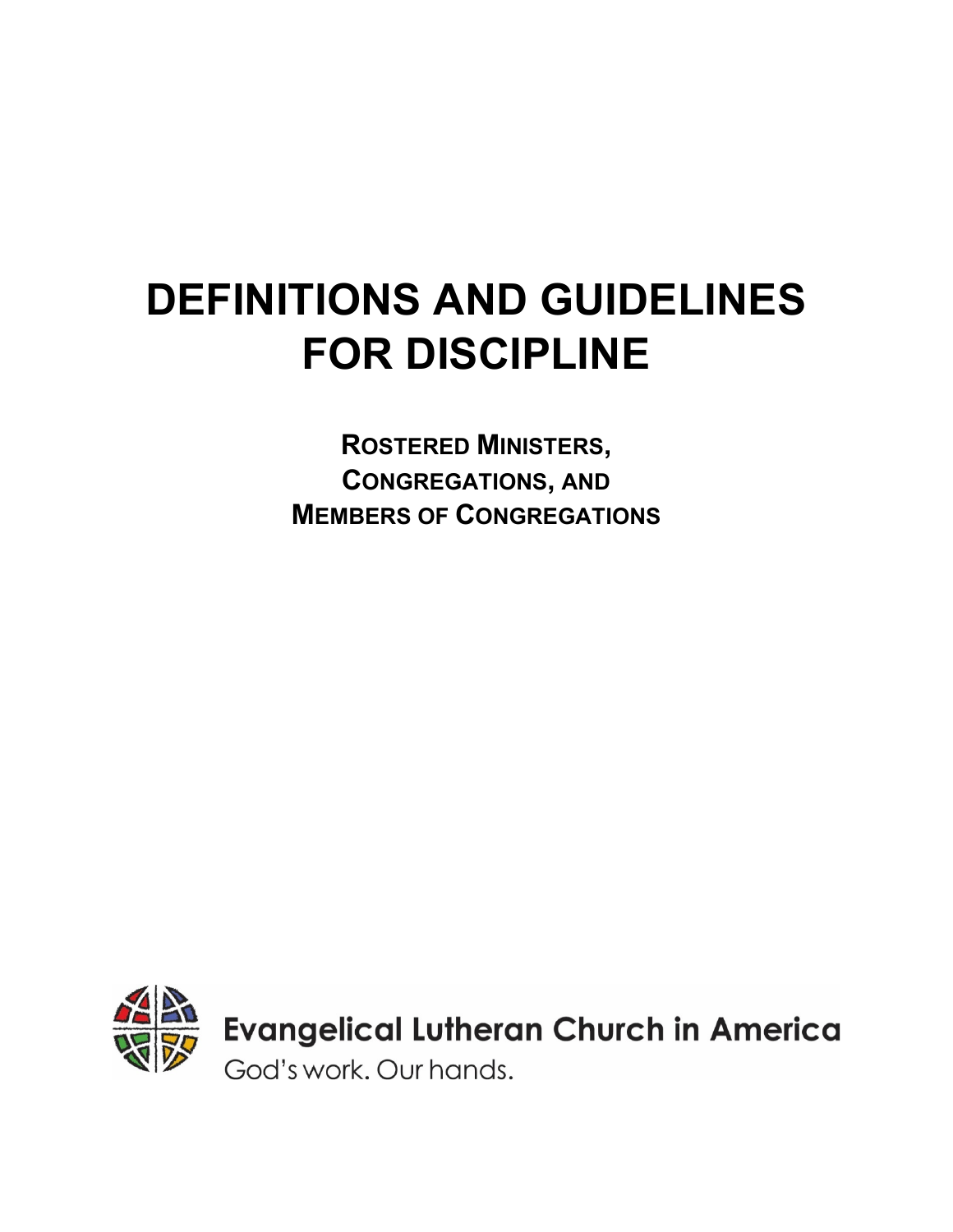# **DEFINITIONS AND GUIDELINES FOR DISCIPLINE**

**ROSTERED MINISTERS, CONGREGATIONS, AND MEMBERS OF CONGREGATIONS**

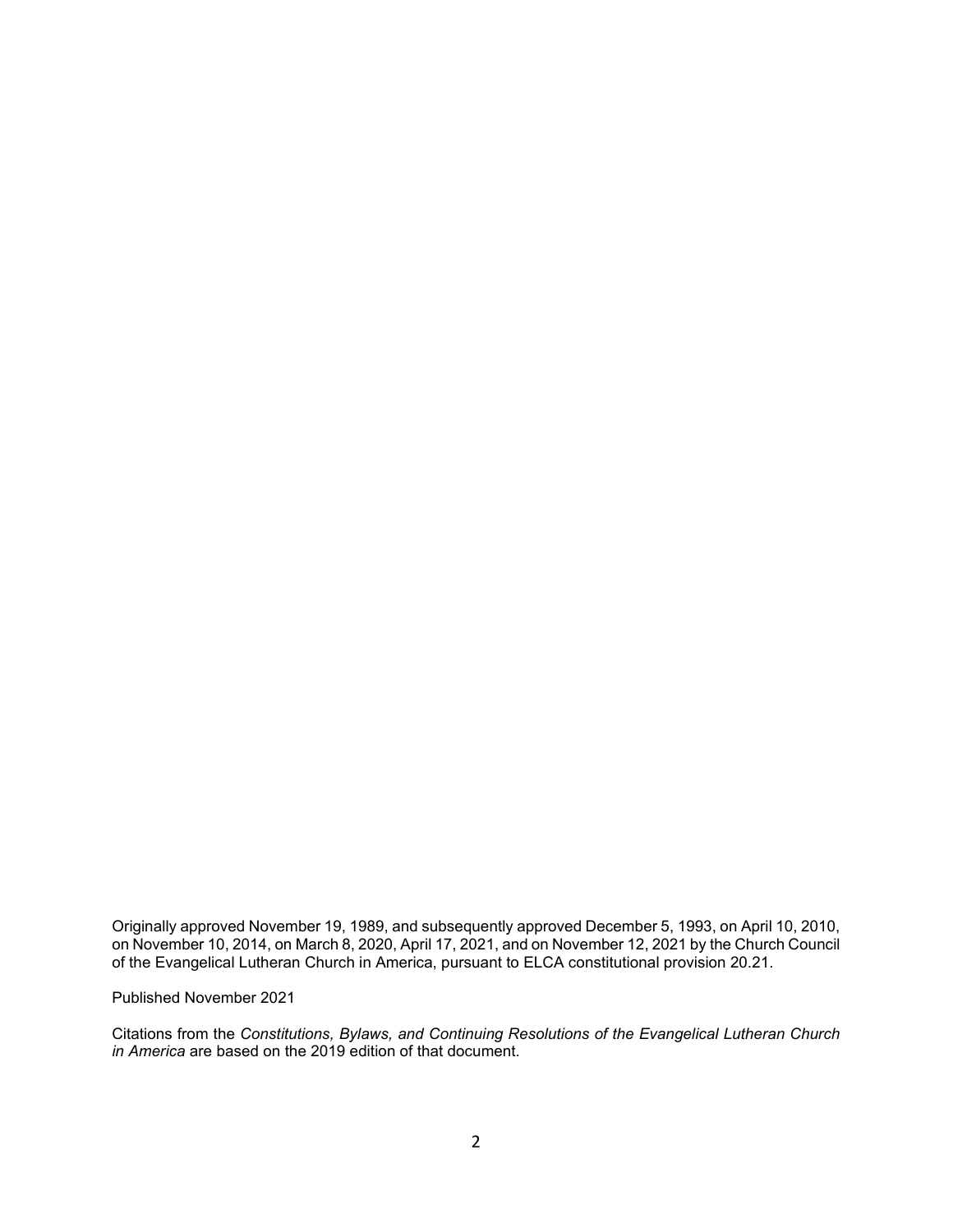Originally approved November 19, 1989, and subsequently approved December 5, 1993, on April 10, 2010, on November 10, 2014, on March 8, 2020, April 17, 2021, and on November 12, 2021 by the Church Council of the Evangelical Lutheran Church in America, pursuant to ELCA constitutional provision 20.21.

Published November 2021

Citations from the *Constitutions, Bylaws, and Continuing Resolutions of the Evangelical Lutheran Church in America* are based on the 2019 edition of that document.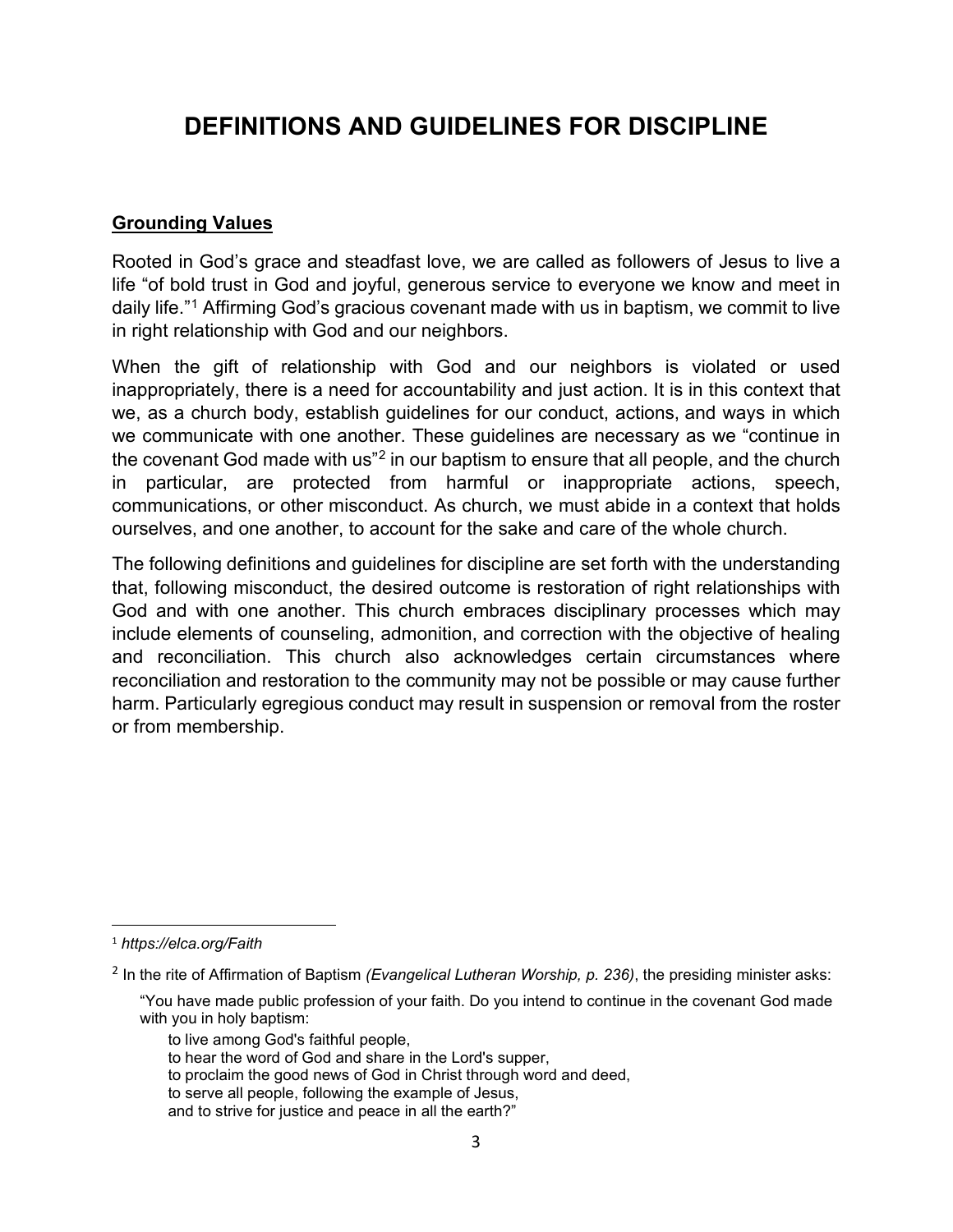# **DEFINITIONS AND GUIDELINES FOR DISCIPLINE**

#### **Grounding Values**

Rooted in God's grace and steadfast love, we are called as followers of Jesus to live a life "of bold trust in God and joyful, generous service to everyone we know and meet in daily life."<sup>[1](#page-2-0)</sup> Affirming God's gracious covenant made with us in baptism, we commit to live in right relationship with God and our neighbors.

When the gift of relationship with God and our neighbors is violated or used inappropriately, there is a need for accountability and just action. It is in this context that we, as a church body, establish guidelines for our conduct, actions, and ways in which we communicate with one another. These guidelines are necessary as we "continue in the covenant God made with us["2](#page-2-1) in our baptism to ensure that all people, and the church in particular, are protected from harmful or inappropriate actions, speech, communications, or other misconduct. As church, we must abide in a context that holds ourselves, and one another, to account for the sake and care of the whole church.

The following definitions and guidelines for discipline are set forth with the understanding that, following misconduct, the desired outcome is restoration of right relationships with God and with one another. This church embraces disciplinary processes which may include elements of counseling, admonition, and correction with the objective of healing and reconciliation. This church also acknowledges certain circumstances where reconciliation and restoration to the community may not be possible or may cause further harm. Particularly egregious conduct may result in suspension or removal from the roster or from membership.

<span id="page-2-0"></span><sup>1</sup> *https://elca.org/Faith*

<span id="page-2-1"></span><sup>2</sup> In the rite of Affirmation of Baptism *(Evangelical Lutheran Worship, p. 236)*, the presiding minister asks:

<sup>&</sup>quot;You have made public profession of your faith. Do you intend to continue in the covenant God made with you in holy baptism:

to live among God's faithful people,

to hear the word of God and share in the Lord's supper,

to proclaim the good news of God in Christ through word and deed,

to serve all people, following the example of Jesus,

and to strive for justice and peace in all the earth?"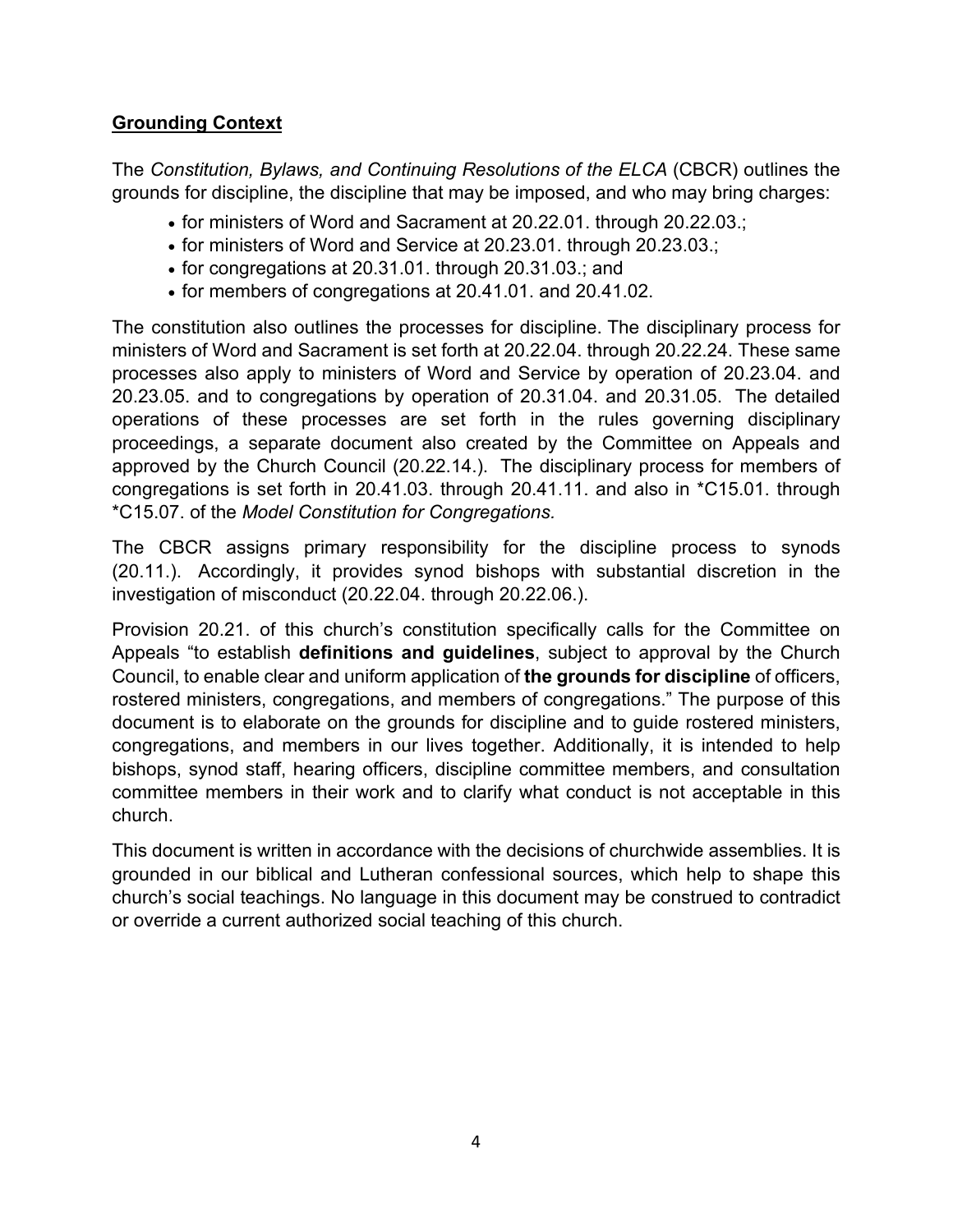# **Grounding Context**

The *Constitution, Bylaws, and Continuing Resolutions of the ELCA* (CBCR) outlines the grounds for discipline, the discipline that may be imposed, and who may bring charges:

- for ministers of Word and Sacrament at 20.22.01. through 20.22.03.;
- for ministers of Word and Service at 20.23.01. through 20.23.03.;
- for congregations at 20.31.01. through 20.31.03.; and
- for members of congregations at 20.41.01. and 20.41.02.

The constitution also outlines the processes for discipline. The disciplinary process for ministers of Word and Sacrament is set forth at 20.22.04. through 20.22.24. These same processes also apply to ministers of Word and Service by operation of 20.23.04. and 20.23.05. and to congregations by operation of 20.31.04. and 20.31.05. The detailed operations of these processes are set forth in the rules governing disciplinary proceedings, a separate document also created by the Committee on Appeals and approved by the Church Council (20.22.14.). The disciplinary process for members of congregations is set forth in 20.41.03. through 20.41.11. and also in \*C15.01. through \*C15.07. of the *Model Constitution for Congregations.*

The CBCR assigns primary responsibility for the discipline process to synods (20.11.). Accordingly, it provides synod bishops with substantial discretion in the investigation of misconduct (20.22.04. through 20.22.06.).

Provision 20.21. of this church's constitution specifically calls for the Committee on Appeals "to establish **definitions and guidelines**, subject to approval by the Church Council, to enable clear and uniform application of **the grounds for discipline** of officers, rostered ministers, congregations, and members of congregations." The purpose of this document is to elaborate on the grounds for discipline and to guide rostered ministers, congregations, and members in our lives together. Additionally, it is intended to help bishops, synod staff, hearing officers, discipline committee members, and consultation committee members in their work and to clarify what conduct is not acceptable in this church.

This document is written in accordance with the decisions of churchwide assemblies. It is grounded in our biblical and Lutheran confessional sources, which help to shape this church's social teachings. No language in this document may be construed to contradict or override a current authorized social teaching of this church.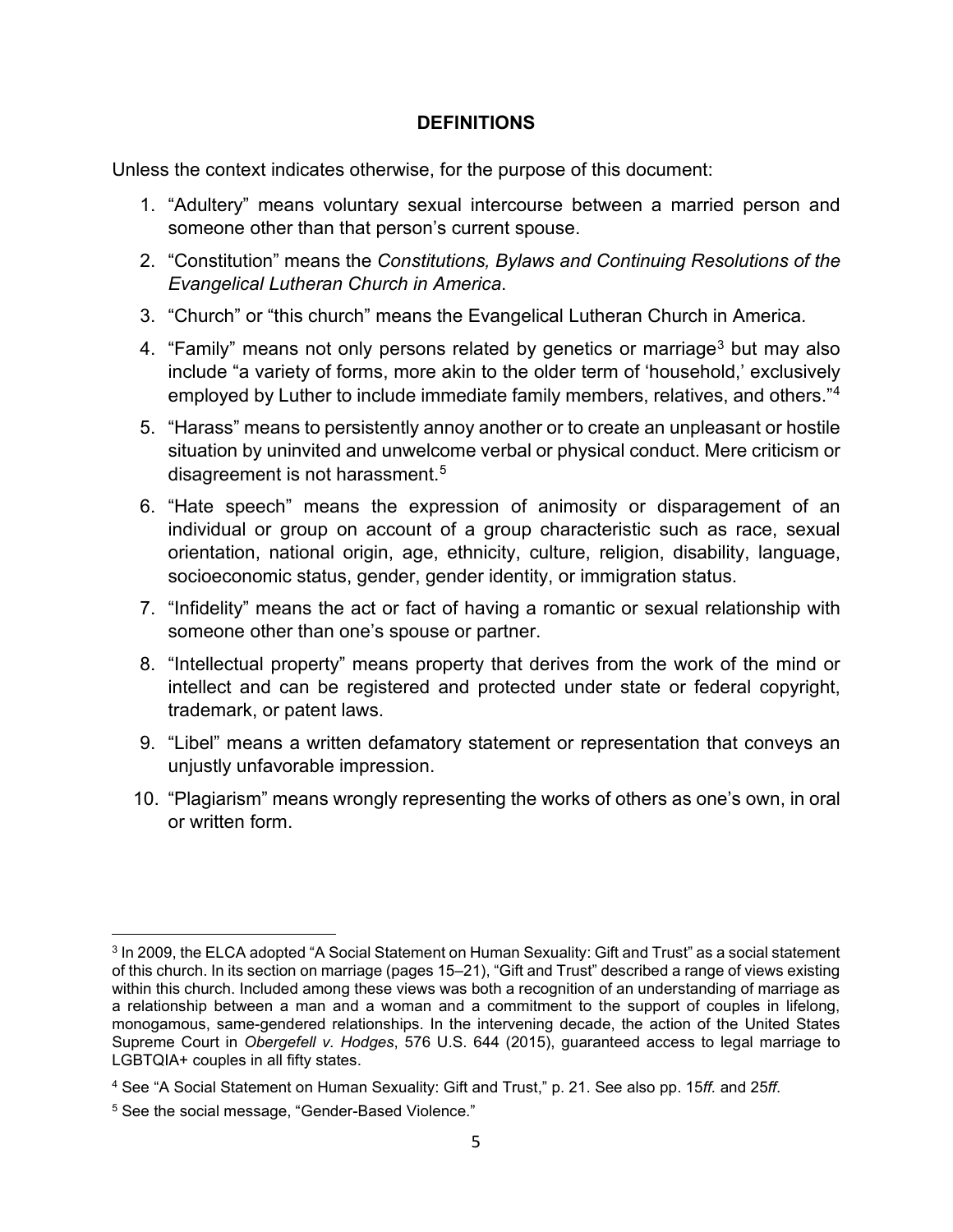#### **DEFINITIONS**

Unless the context indicates otherwise, for the purpose of this document:

- 1. "Adultery" means voluntary sexual intercourse between a married person and someone other than that person's current spouse.
- 2. "Constitution" means the *Constitutions, Bylaws and Continuing Resolutions of the Evangelical Lutheran Church in America*.
- 3. "Church" or "this church" means the Evangelical Lutheran Church in America.
- 4. "Family" means not only persons related by genetics or marriage<sup>[3](#page-4-0)</sup> but may also include "a variety of forms, more akin to the older term of 'household,' exclusively employed by Luther to include immediate family members, relatives, and others."[4](#page-4-1)
- 5. "Harass" means to persistently annoy another or to create an unpleasant or hostile situation by uninvited and unwelcome verbal or physical conduct. Mere criticism or disagreement is not harassment.<sup>[5](#page-4-2)</sup>
- 6. "Hate speech" means the expression of animosity or disparagement of an individual or group on account of a group characteristic such as race, sexual orientation, national origin, age, ethnicity, culture, religion, disability, language, socioeconomic status, gender, gender identity, or immigration status.
- 7. "Infidelity" means the act or fact of having a romantic or sexual relationship with someone other than one's spouse or partner.
- 8. "Intellectual property" means property that derives from the work of the mind or intellect and can be registered and protected under state or federal copyright, trademark, or patent laws.
- 9. "Libel" means a written defamatory statement or representation that conveys an unjustly unfavorable impression.
- 10. "Plagiarism" means wrongly representing the works of others as one's own, in oral or written form.

<span id="page-4-0"></span><sup>3</sup> In 2009, the ELCA adopted "A Social Statement on Human Sexuality: Gift and Trust" as a social statement of this church. In its section on marriage (pages 15–21), "Gift and Trust" described a range of views existing within this church. Included among these views was both a recognition of an understanding of marriage as a relationship between a man and a woman and a commitment to the support of couples in lifelong, monogamous, same-gendered relationships. In the intervening decade, the action of the United States Supreme Court in *Obergefell v. Hodges*, 576 U.S. 644 (2015), guaranteed access to legal marriage to LGBTQIA+ couples in all fifty states.

<span id="page-4-1"></span><sup>4</sup> See "A Social Statement on Human Sexuality: Gift and Trust," p. 21. See also pp. 15*ff.* and 25*ff*.

<span id="page-4-2"></span><sup>5</sup> See the social message, "Gender-Based Violence."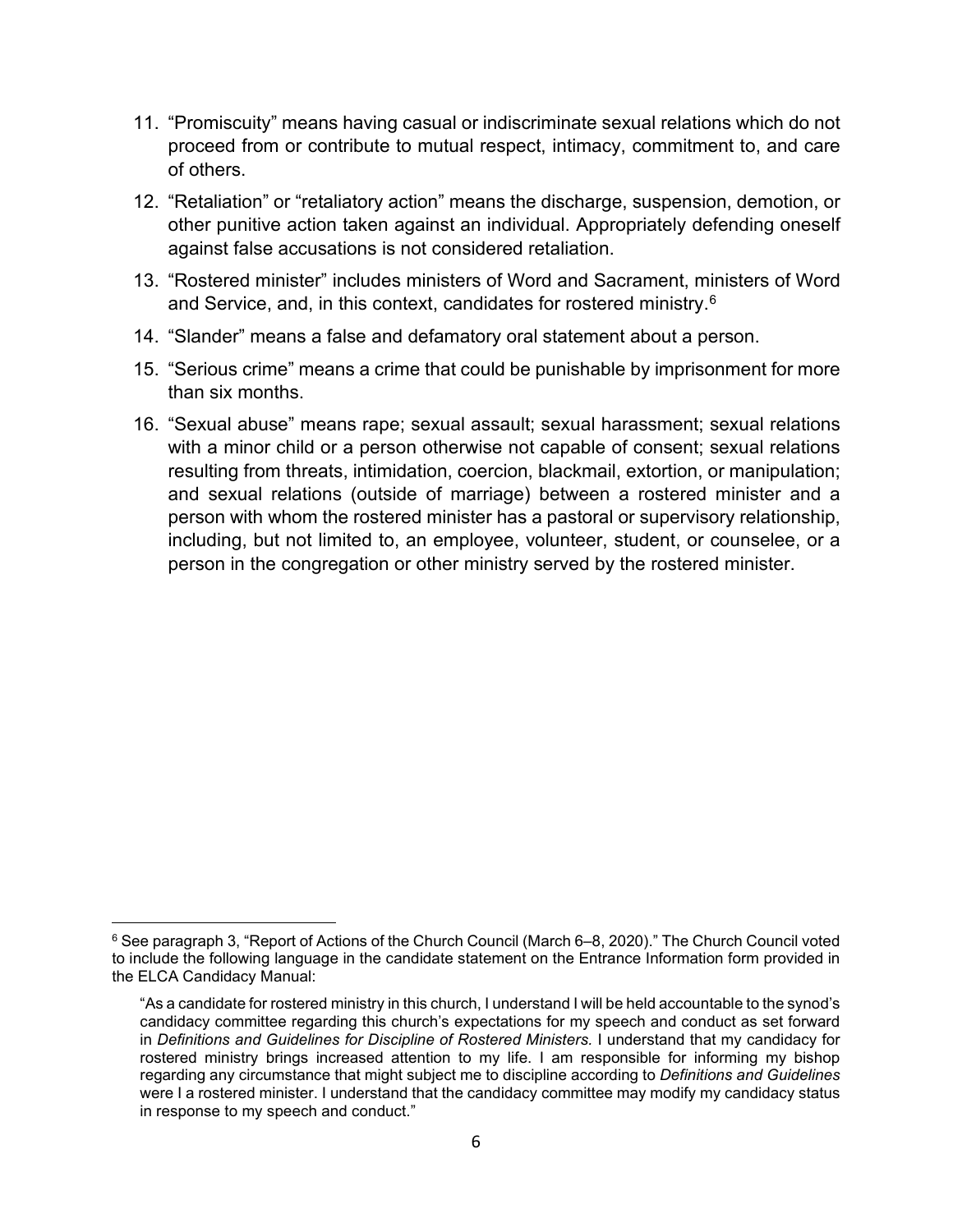- 11. "Promiscuity" means having casual or indiscriminate sexual relations which do not proceed from or contribute to mutual respect, intimacy, commitment to, and care of others.
- 12. "Retaliation" or "retaliatory action" means the discharge, suspension, demotion, or other punitive action taken against an individual. Appropriately defending oneself against false accusations is not considered retaliation.
- 13. "Rostered minister" includes ministers of Word and Sacrament, ministers of Word and Service, and, in this context, candidates for rostered ministry.<sup>[6](#page-5-0)</sup>
- 14. "Slander" means a false and defamatory oral statement about a person.
- 15. "Serious crime" means a crime that could be punishable by imprisonment for more than six months.
- 16. "Sexual abuse" means rape; sexual assault; sexual harassment; sexual relations with a minor child or a person otherwise not capable of consent; sexual relations resulting from threats, intimidation, coercion, blackmail, extortion, or manipulation; and sexual relations (outside of marriage) between a rostered minister and a person with whom the rostered minister has a pastoral or supervisory relationship, including, but not limited to, an employee, volunteer, student, or counselee, or a person in the congregation or other ministry served by the rostered minister.

<span id="page-5-0"></span><sup>6</sup> See paragraph 3, "Report of Actions of the Church Council (March 6–8, 2020)." The Church Council voted to include the following language in the candidate statement on the Entrance Information form provided in the ELCA Candidacy Manual:

<sup>&</sup>quot;As a candidate for rostered ministry in this church, I understand I will be held accountable to the synod's candidacy committee regarding this church's expectations for my speech and conduct as set forward in *Definitions and Guidelines for Discipline of Rostered Ministers.* I understand that my candidacy for rostered ministry brings increased attention to my life. I am responsible for informing my bishop regarding any circumstance that might subject me to discipline according to *Definitions and Guidelines* were I a rostered minister. I understand that the candidacy committee may modify my candidacy status in response to my speech and conduct."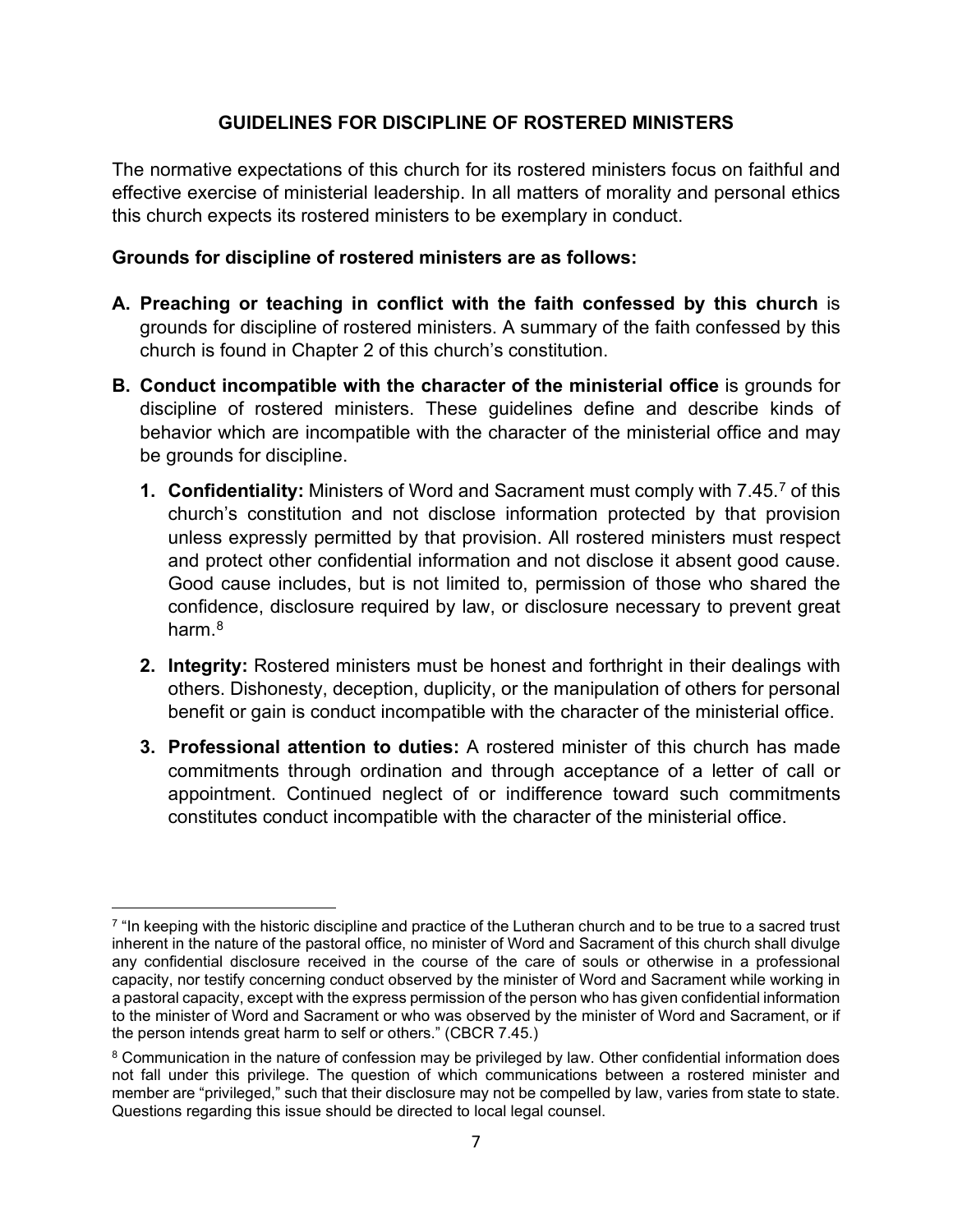## **GUIDELINES FOR DISCIPLINE OF ROSTERED MINISTERS**

The normative expectations of this church for its rostered ministers focus on faithful and effective exercise of ministerial leadership. In all matters of morality and personal ethics this church expects its rostered ministers to be exemplary in conduct.

### **Grounds for discipline of rostered ministers are as follows:**

- **A. Preaching or teaching in conflict with the faith confessed by this church** is grounds for discipline of rostered ministers. A summary of the faith confessed by this church is found in Chapter 2 of this church's constitution.
- **B. Conduct incompatible with the character of the ministerial office** is grounds for discipline of rostered ministers. These guidelines define and describe kinds of behavior which are incompatible with the character of the ministerial office and may be grounds for discipline.
	- **1. Confidentiality:** Ministers of Word and Sacrament must comply with 7.45.[7](#page-6-0) of this church's constitution and not disclose information protected by that provision unless expressly permitted by that provision. All rostered ministers must respect and protect other confidential information and not disclose it absent good cause. Good cause includes, but is not limited to, permission of those who shared the confidence, disclosure required by law, or disclosure necessary to prevent great harm  $8$
	- **2. Integrity:** Rostered ministers must be honest and forthright in their dealings with others. Dishonesty, deception, duplicity, or the manipulation of others for personal benefit or gain is conduct incompatible with the character of the ministerial office.
	- **3. Professional attention to duties:** A rostered minister of this church has made commitments through ordination and through acceptance of a letter of call or appointment. Continued neglect of or indifference toward such commitments constitutes conduct incompatible with the character of the ministerial office.

<span id="page-6-0"></span> $7$  "In keeping with the historic discipline and practice of the Lutheran church and to be true to a sacred trust inherent in the nature of the pastoral office, no minister of Word and Sacrament of this church shall divulge any confidential disclosure received in the course of the care of souls or otherwise in a professional capacity, nor testify concerning conduct observed by the minister of Word and Sacrament while working in a pastoral capacity, except with the express permission of the person who has given confidential information to the minister of Word and Sacrament or who was observed by the minister of Word and Sacrament, or if the person intends great harm to self or others." (CBCR 7.45.)

<span id="page-6-1"></span><sup>&</sup>lt;sup>8</sup> Communication in the nature of confession may be privileged by law. Other confidential information does not fall under this privilege. The question of which communications between a rostered minister and member are "privileged," such that their disclosure may not be compelled by law, varies from state to state. Questions regarding this issue should be directed to local legal counsel.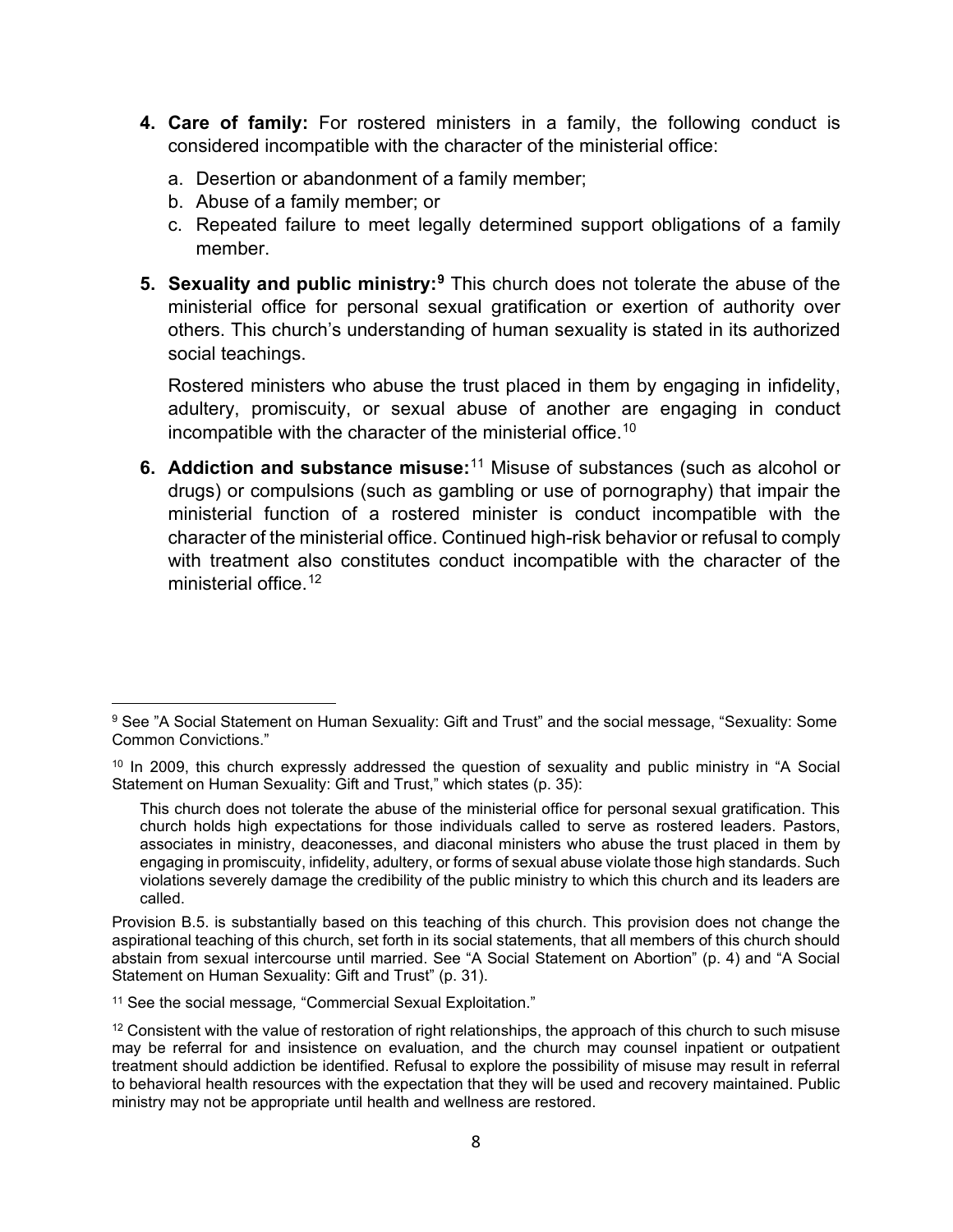- **4. Care of family:** For rostered ministers in a family, the following conduct is considered incompatible with the character of the ministerial office:
	- a. Desertion or abandonment of a family member;
	- b. Abuse of a family member; or
	- c. Repeated failure to meet legally determined support obligations of a family member.
- **5. Sexuality and public ministry:[9](#page-7-0)** This church does not tolerate the abuse of the ministerial office for personal sexual gratification or exertion of authority over others. This church's understanding of human sexuality is stated in its authorized social teachings.

Rostered ministers who abuse the trust placed in them by engaging in infidelity, adultery, promiscuity, or sexual abuse of another are engaging in conduct incompatible with the character of the ministerial office.<sup>[10](#page-7-1)</sup>

**6. Addiction and substance misuse:**[11](#page-7-2) Misuse of substances (such as alcohol or drugs) or compulsions (such as gambling or use of pornography) that impair the ministerial function of a rostered minister is conduct incompatible with the character of the ministerial office. Continued high-risk behavior or refusal to comply with treatment also constitutes conduct incompatible with the character of the ministerial office.<sup>[12](#page-7-3)</sup>

<span id="page-7-2"></span><sup>11</sup> See the social message*,* "Commercial Sexual Exploitation."

<span id="page-7-0"></span><sup>9</sup> See "A Social Statement on Human Sexuality: Gift and Trust" and the social message, "Sexuality: Some Common Convictions."

<span id="page-7-1"></span><sup>&</sup>lt;sup>10</sup> In 2009, this church expressly addressed the question of sexuality and public ministry in "A Social Statement on Human Sexuality: Gift and Trust," which states (p. 35):

This church does not tolerate the abuse of the ministerial office for personal sexual gratification. This church holds high expectations for those individuals called to serve as rostered leaders. Pastors, associates in ministry, deaconesses, and diaconal ministers who abuse the trust placed in them by engaging in promiscuity, infidelity, adultery, or forms of sexual abuse violate those high standards. Such violations severely damage the credibility of the public ministry to which this church and its leaders are called.

Provision B.5. is substantially based on this teaching of this church. This provision does not change the aspirational teaching of this church, set forth in its social statements, that all members of this church should abstain from sexual intercourse until married. See "A Social Statement on Abortion" (p. 4) and "A Social Statement on Human Sexuality: Gift and Trust" (p. 31).

<span id="page-7-3"></span><sup>&</sup>lt;sup>12</sup> Consistent with the value of restoration of right relationships, the approach of this church to such misuse may be referral for and insistence on evaluation, and the church may counsel inpatient or outpatient treatment should addiction be identified. Refusal to explore the possibility of misuse may result in referral to behavioral health resources with the expectation that they will be used and recovery maintained. Public ministry may not be appropriate until health and wellness are restored.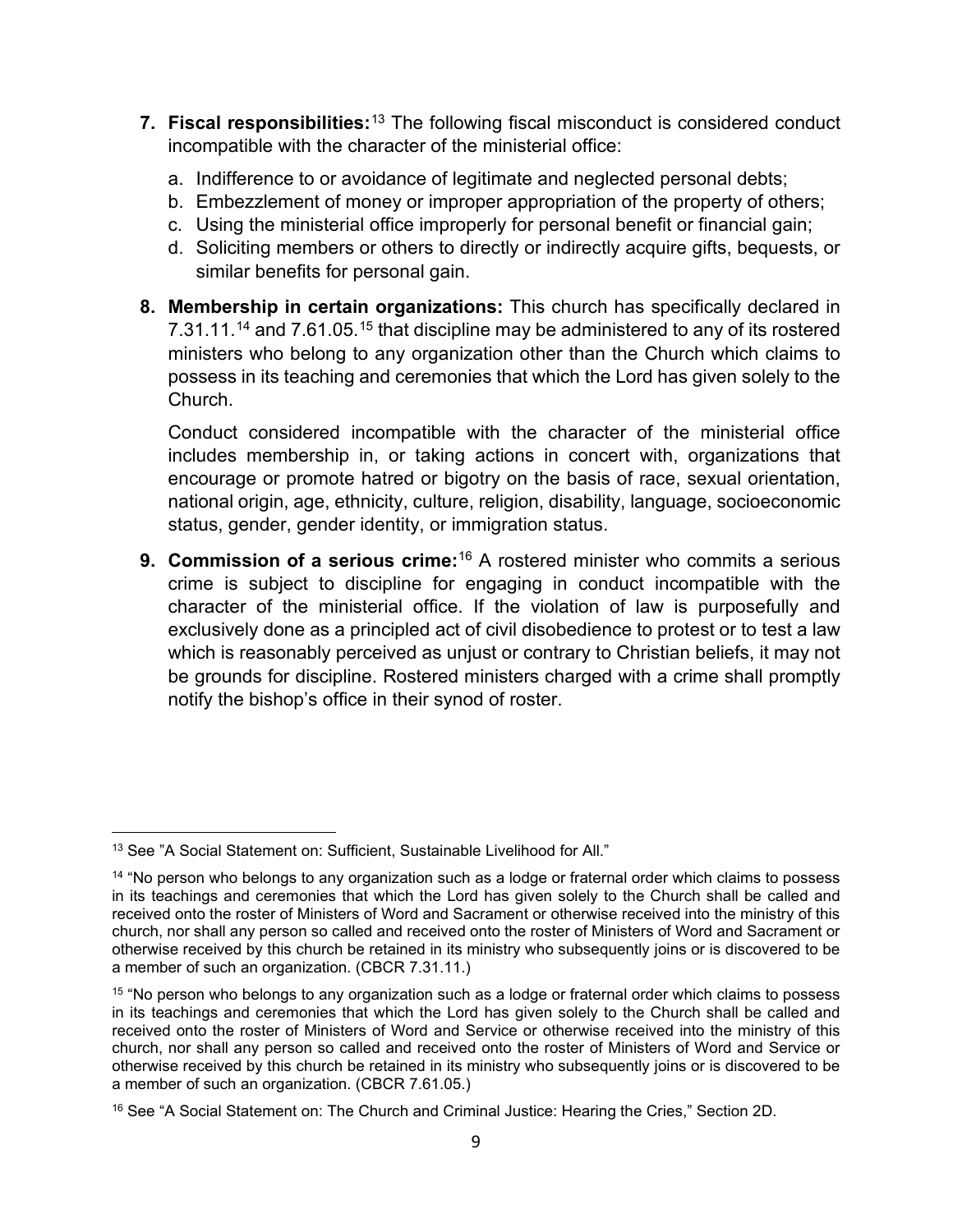- **7. Fiscal responsibilities:**[13](#page-8-0) The following fiscal misconduct is considered conduct incompatible with the character of the ministerial office:
	- a. Indifference to or avoidance of legitimate and neglected personal debts;
	- b. Embezzlement of money or improper appropriation of the property of others;
	- c. Using the ministerial office improperly for personal benefit or financial gain;
	- d. Soliciting members or others to directly or indirectly acquire gifts, bequests, or similar benefits for personal gain.
- **8. Membership in certain organizations:** This church has specifically declared in 7.31.11.<sup>[14](#page-8-1)</sup> and 7.61.05.<sup>[15](#page-8-2)</sup> that discipline may be administered to any of its rostered ministers who belong to any organization other than the Church which claims to possess in its teaching and ceremonies that which the Lord has given solely to the Church.

Conduct considered incompatible with the character of the ministerial office includes membership in, or taking actions in concert with, organizations that encourage or promote hatred or bigotry on the basis of race, sexual orientation, national origin, age, ethnicity, culture, religion, disability, language, socioeconomic status, gender, gender identity, or immigration status.

**9. Commission of a serious crime:**[16](#page-8-3) A rostered minister who commits a serious crime is subject to discipline for engaging in conduct incompatible with the character of the ministerial office. If the violation of law is purposefully and exclusively done as a principled act of civil disobedience to protest or to test a law which is reasonably perceived as unjust or contrary to Christian beliefs, it may not be grounds for discipline. Rostered ministers charged with a crime shall promptly notify the bishop's office in their synod of roster.

<span id="page-8-0"></span><sup>13</sup> See "A Social Statement on: Sufficient, Sustainable Livelihood for All."

<span id="page-8-1"></span><sup>&</sup>lt;sup>14</sup> "No person who belongs to any organization such as a lodge or fraternal order which claims to possess in its teachings and ceremonies that which the Lord has given solely to the Church shall be called and received onto the roster of Ministers of Word and Sacrament or otherwise received into the ministry of this church, nor shall any person so called and received onto the roster of Ministers of Word and Sacrament or otherwise received by this church be retained in its ministry who subsequently joins or is discovered to be a member of such an organization. (CBCR 7.31.11.)

<span id="page-8-2"></span><sup>&</sup>lt;sup>15</sup> "No person who belongs to any organization such as a lodge or fraternal order which claims to possess in its teachings and ceremonies that which the Lord has given solely to the Church shall be called and received onto the roster of Ministers of Word and Service or otherwise received into the ministry of this church, nor shall any person so called and received onto the roster of Ministers of Word and Service or otherwise received by this church be retained in its ministry who subsequently joins or is discovered to be a member of such an organization. (CBCR 7.61.05.)

<span id="page-8-3"></span><sup>&</sup>lt;sup>16</sup> See "A Social Statement on: The Church and Criminal Justice: Hearing the Cries," Section 2D.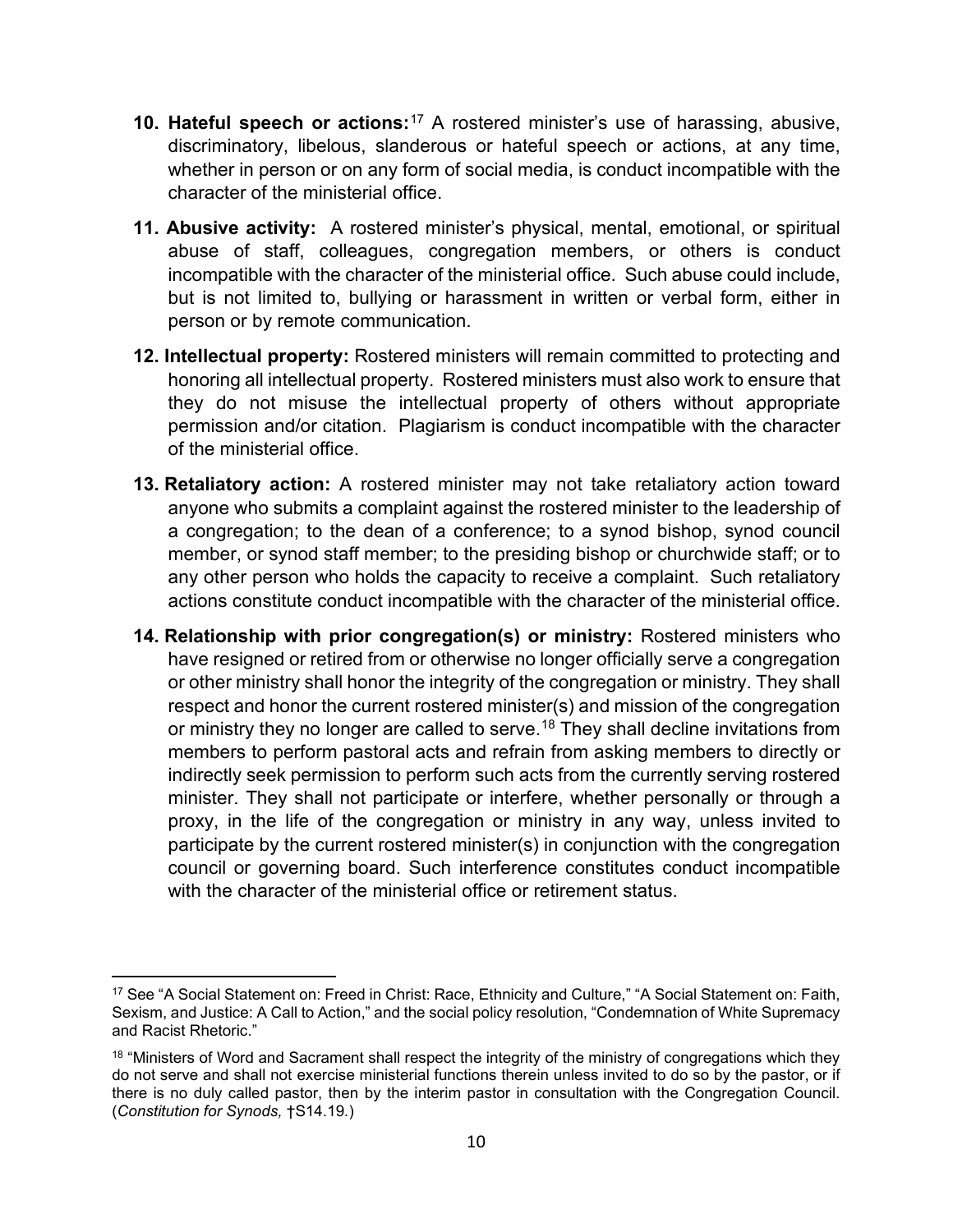- **10. Hateful speech or actions:**[17](#page-9-0) A rostered minister's use of harassing, abusive, discriminatory, libelous, slanderous or hateful speech or actions, at any time, whether in person or on any form of social media, is conduct incompatible with the character of the ministerial office.
- **11. Abusive activity:** A rostered minister's physical, mental, emotional, or spiritual abuse of staff, colleagues, congregation members, or others is conduct incompatible with the character of the ministerial office. Such abuse could include, but is not limited to, bullying or harassment in written or verbal form, either in person or by remote communication.
- **12. Intellectual property:** Rostered ministers will remain committed to protecting and honoring all intellectual property. Rostered ministers must also work to ensure that they do not misuse the intellectual property of others without appropriate permission and/or citation. Plagiarism is conduct incompatible with the character of the ministerial office.
- **13. Retaliatory action:** A rostered minister may not take retaliatory action toward anyone who submits a complaint against the rostered minister to the leadership of a congregation; to the dean of a conference; to a synod bishop, synod council member, or synod staff member; to the presiding bishop or churchwide staff; or to any other person who holds the capacity to receive a complaint. Such retaliatory actions constitute conduct incompatible with the character of the ministerial office.
- **14. Relationship with prior congregation(s) or ministry:** Rostered ministers who have resigned or retired from or otherwise no longer officially serve a congregation or other ministry shall honor the integrity of the congregation or ministry. They shall respect and honor the current rostered minister(s) and mission of the congregation or ministry they no longer are called to serve.<sup>[18](#page-9-1)</sup> They shall decline invitations from members to perform pastoral acts and refrain from asking members to directly or indirectly seek permission to perform such acts from the currently serving rostered minister. They shall not participate or interfere, whether personally or through a proxy, in the life of the congregation or ministry in any way, unless invited to participate by the current rostered minister(s) in conjunction with the congregation council or governing board. Such interference constitutes conduct incompatible with the character of the ministerial office or retirement status.

<span id="page-9-0"></span><sup>17</sup> See "A Social Statement on: Freed in Christ: Race, Ethnicity and Culture," "A Social Statement on: Faith, Sexism, and Justice: A Call to Action," and the social policy resolution, "Condemnation of White Supremacy and Racist Rhetoric."

<span id="page-9-1"></span><sup>&</sup>lt;sup>18</sup> "Ministers of Word and Sacrament shall respect the integrity of the ministry of congregations which they do not serve and shall not exercise ministerial functions therein unless invited to do so by the pastor, or if there is no duly called pastor, then by the interim pastor in consultation with the Congregation Council. (*Constitution for Synods,* †S14.19*.*)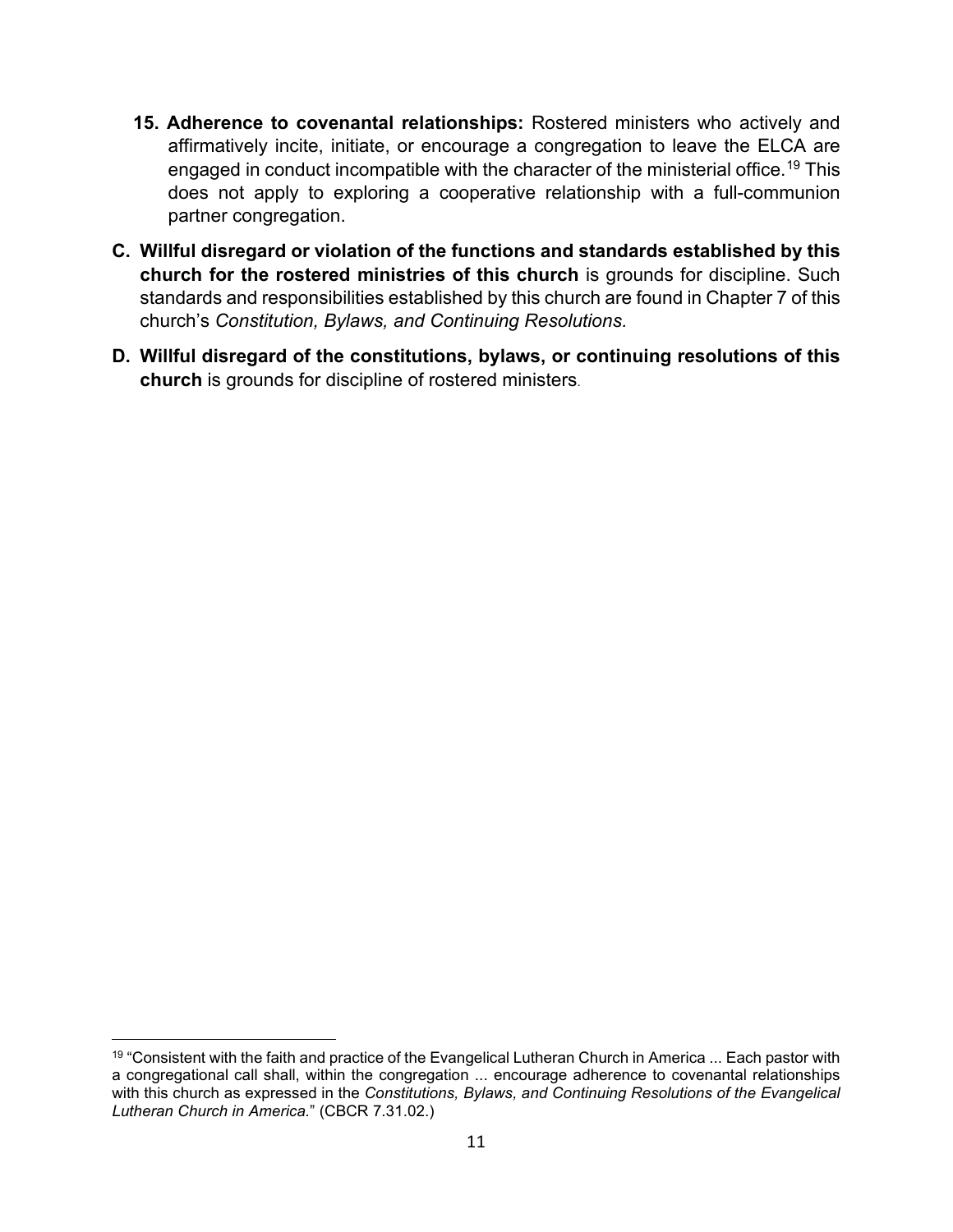- **15. Adherence to covenantal relationships:** Rostered ministers who actively and affirmatively incite, initiate, or encourage a congregation to leave the ELCA are engaged in conduct incompatible with the character of the ministerial office[.19](#page-10-0) This does not apply to exploring a cooperative relationship with a full-communion partner congregation.
- **C. Willful disregard or violation of the functions and standards established by this church for the rostered ministries of this church** is grounds for discipline. Such standards and responsibilities established by this church are found in Chapter 7 of this church's *Constitution, Bylaws, and Continuing Resolutions.*
- **D. Willful disregard of the constitutions, bylaws, or continuing resolutions of this church** is grounds for discipline of rostered ministers.

<span id="page-10-0"></span><sup>&</sup>lt;sup>19</sup> "Consistent with the faith and practice of the Evangelical Lutheran Church in America ... Each pastor with a congregational call shall, within the congregation ... encourage adherence to covenantal relationships with this church as expressed in the *Constitutions, Bylaws, and Continuing Resolutions of the Evangelical Lutheran Church in America.*" (CBCR 7.31.02.)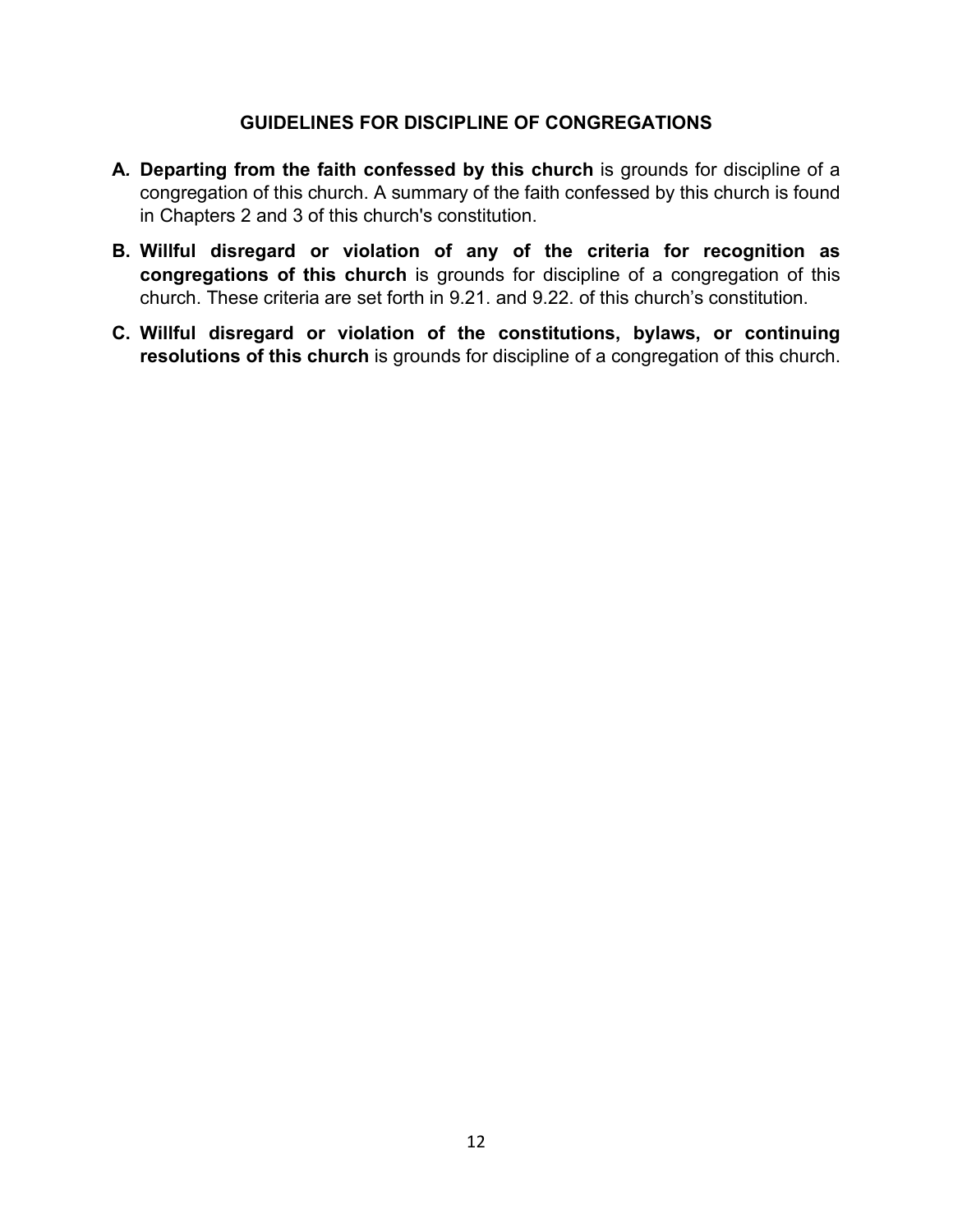#### **GUIDELINES FOR DISCIPLINE OF CONGREGATIONS**

- **A***.* **Departing from the faith confessed by this church** is grounds for discipline of a congregation of this church. A summary of the faith confessed by this church is found in Chapters 2 and 3 of this church's constitution.
- **B. Willful disregard or violation of any of the criteria for recognition as congregations of this church** is grounds for discipline of a congregation of this church. These criteria are set forth in 9.21. and 9.22. of this church's constitution.
- **C. Willful disregard or violation of the constitutions, bylaws, or continuing resolutions of this church** is grounds for discipline of a congregation of this church.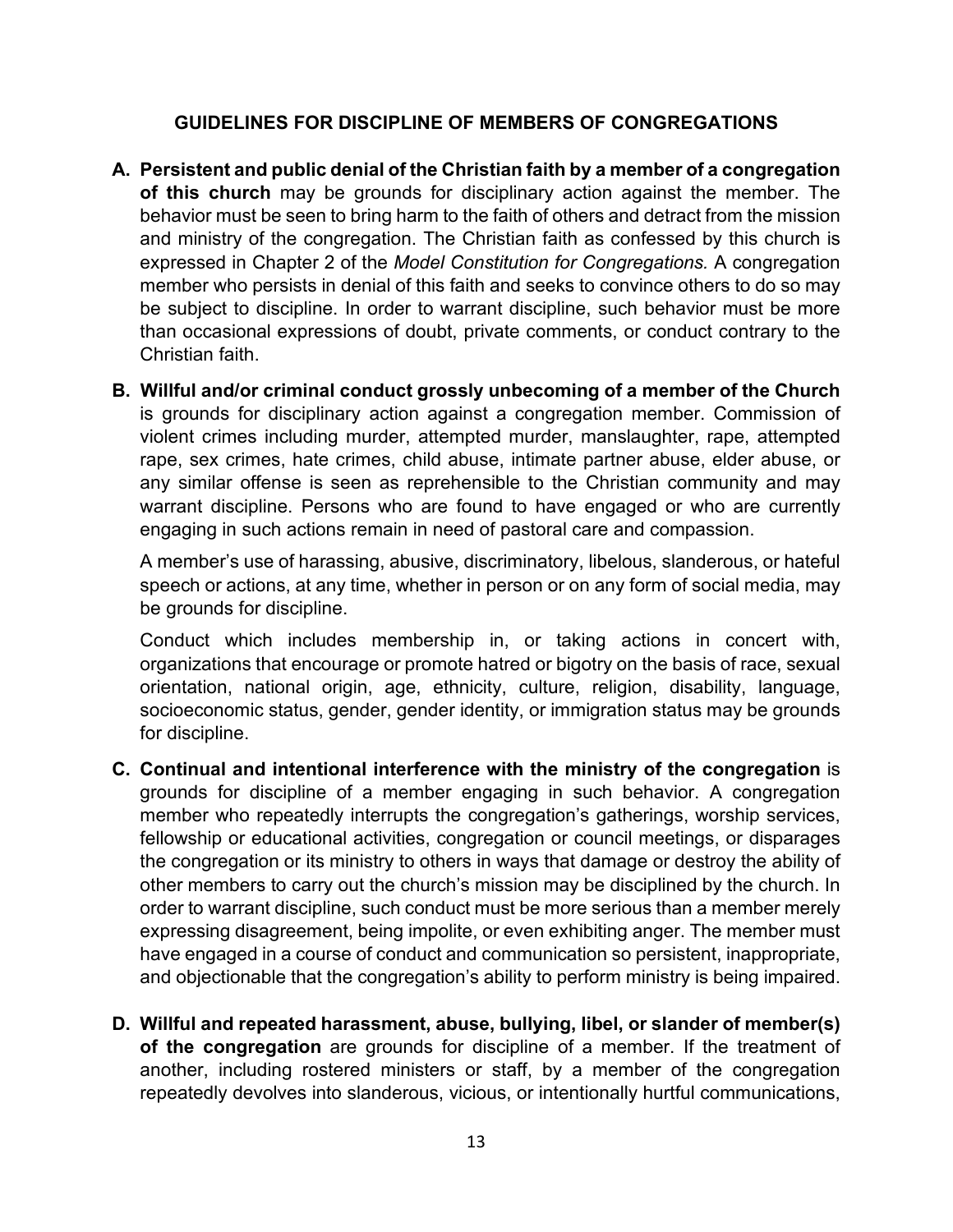### **GUIDELINES FOR DISCIPLINE OF MEMBERS OF CONGREGATIONS**

- **A. Persistent and public denial of the Christian faith by a member of a congregation of this church** may be grounds for disciplinary action against the member. The behavior must be seen to bring harm to the faith of others and detract from the mission and ministry of the congregation. The Christian faith as confessed by this church is expressed in Chapter 2 of the *Model Constitution for Congregations.* A congregation member who persists in denial of this faith and seeks to convince others to do so may be subject to discipline. In order to warrant discipline, such behavior must be more than occasional expressions of doubt, private comments, or conduct contrary to the Christian faith.
- **B. Willful and/or criminal conduct grossly unbecoming of a member of the Church** is grounds for disciplinary action against a congregation member. Commission of violent crimes including murder, attempted murder, manslaughter, rape, attempted rape, sex crimes, hate crimes, child abuse, intimate partner abuse, elder abuse, or any similar offense is seen as reprehensible to the Christian community and may warrant discipline. Persons who are found to have engaged or who are currently engaging in such actions remain in need of pastoral care and compassion.

A member's use of harassing, abusive, discriminatory, libelous, slanderous, or hateful speech or actions, at any time, whether in person or on any form of social media, may be grounds for discipline.

Conduct which includes membership in, or taking actions in concert with, organizations that encourage or promote hatred or bigotry on the basis of race, sexual orientation, national origin, age, ethnicity, culture, religion, disability, language, socioeconomic status, gender, gender identity, or immigration status may be grounds for discipline.

- **C. Continual and intentional interference with the ministry of the congregation** is grounds for discipline of a member engaging in such behavior. A congregation member who repeatedly interrupts the congregation's gatherings, worship services, fellowship or educational activities, congregation or council meetings, or disparages the congregation or its ministry to others in ways that damage or destroy the ability of other members to carry out the church's mission may be disciplined by the church. In order to warrant discipline, such conduct must be more serious than a member merely expressing disagreement, being impolite, or even exhibiting anger. The member must have engaged in a course of conduct and communication so persistent, inappropriate, and objectionable that the congregation's ability to perform ministry is being impaired.
- **D. Willful and repeated harassment, abuse, bullying, libel, or slander of member(s) of the congregation** are grounds for discipline of a member. If the treatment of another, including rostered ministers or staff, by a member of the congregation repeatedly devolves into slanderous, vicious, or intentionally hurtful communications,